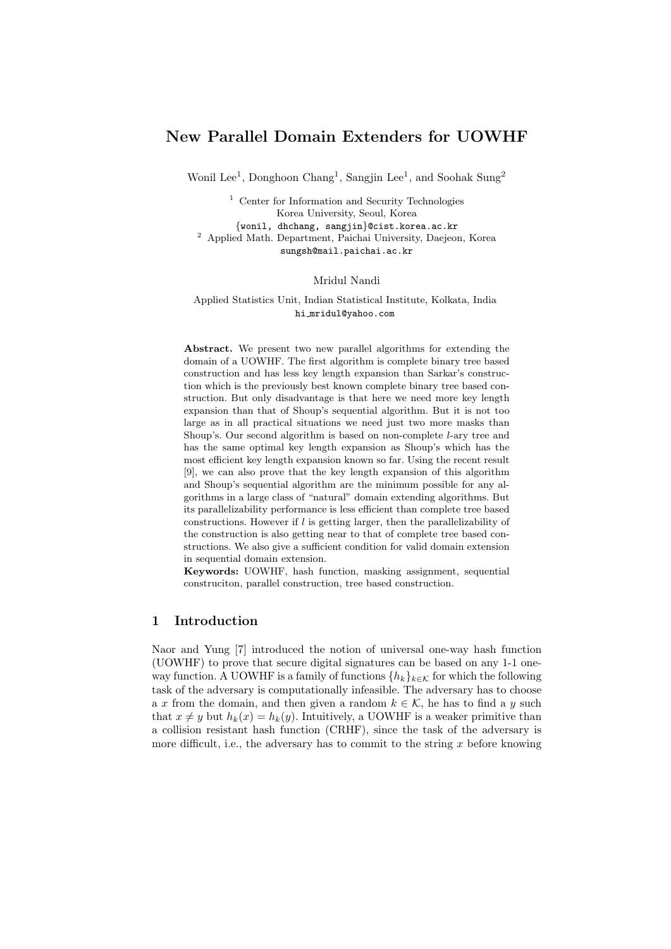# New Parallel Domain Extenders for UOWHF

Wonil Lee<sup>1</sup>, Donghoon Chang<sup>1</sup>, Sangjin Lee<sup>1</sup>, and Soohak Sung<sup>2</sup>

<sup>1</sup> Center for Information and Security Technologies Korea University, Seoul, Korea {wonil, dhchang, sangjin}@cist.korea.ac.kr

<sup>2</sup> Applied Math. Department, Paichai University, Daejeon, Korea sungsh@mail.paichai.ac.kr

#### Mridul Nandi

Applied Statistics Unit, Indian Statistical Institute, Kolkata, India hi mridul@yahoo.com

Abstract. We present two new parallel algorithms for extending the domain of a UOWHF. The first algorithm is complete binary tree based construction and has less key length expansion than Sarkar's construction which is the previously best known complete binary tree based construction. But only disadvantage is that here we need more key length expansion than that of Shoup's sequential algorithm. But it is not too large as in all practical situations we need just two more masks than Shoup's. Our second algorithm is based on non-complete l-ary tree and has the same optimal key length expansion as Shoup's which has the most efficient key length expansion known so far. Using the recent result [9], we can also prove that the key length expansion of this algorithm and Shoup's sequential algorithm are the minimum possible for any algorithms in a large class of "natural" domain extending algorithms. But its parallelizability performance is less efficient than complete tree based constructions. However if  $l$  is getting larger, then the parallelizability of the construction is also getting near to that of complete tree based constructions. We also give a sufficient condition for valid domain extension in sequential domain extension.

Keywords: UOWHF, hash function, masking assignment, sequential construciton, parallel construction, tree based construction.

# 1 Introduction

Naor and Yung [7] introduced the notion of universal one-way hash function (UOWHF) to prove that secure digital signatures can be based on any 1-1 oneway function. A UOWHF is a family of functions  $\{h_k\}_{k\in\mathcal{K}}$  for which the following task of the adversary is computationally infeasible. The adversary has to choose a x from the domain, and then given a random  $k \in \mathcal{K}$ , he has to find a y such that  $x \neq y$  but  $h_k(x) = h_k(y)$ . Intuitively, a UOWHF is a weaker primitive than a collision resistant hash function (CRHF), since the task of the adversary is more difficult, i.e., the adversary has to commit to the string  $x$  before knowing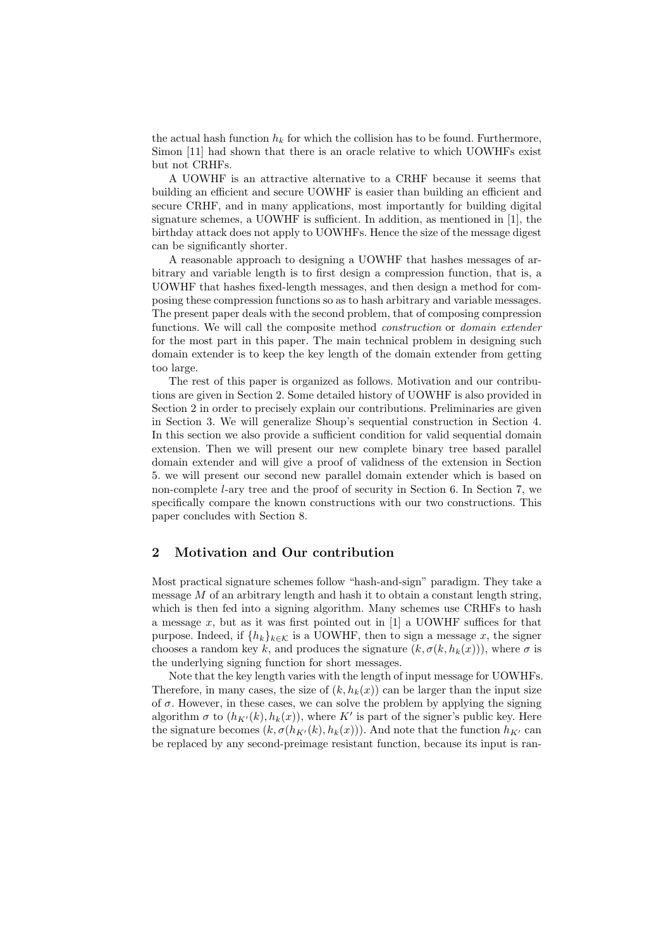the actual hash function  $h_k$  for which the collision has to be found. Furthermore, Simon [11] had shown that there is an oracle relative to which UOWHFs exist but not CRHFs.

A UOWHF is an attractive alternative to a CRHF because it seems that building an efficient and secure UOWHF is easier than building an efficient and secure CRHF, and in many applications, most importantly for building digital signature schemes, a UOWHF is sufficient. In addition, as mentioned in [1], the birthday attack does not apply to UOWHFs. Hence the size of the message digest can be significantly shorter.

A reasonable approach to designing a UOWHF that hashes messages of arbitrary and variable length is to first design a compression function, that is, a UOWHF that hashes fixed-length messages, and then design a method for composing these compression functions so as to hash arbitrary and variable messages. The present paper deals with the second problem, that of composing compression functions. We will call the composite method construction or domain extender for the most part in this paper. The main technical problem in designing such domain extender is to keep the key length of the domain extender from getting too large.

The rest of this paper is organized as follows. Motivation and our contributions are given in Section 2. Some detailed history of UOWHF is also provided in Section 2 in order to precisely explain our contributions. Preliminaries are given in Section 3. We will generalize Shoup's sequential construction in Section 4. In this section we also provide a sufficient condition for valid sequential domain extension. Then we will present our new complete binary tree based parallel domain extender and will give a proof of validness of the extension in Section 5. we will present our second new parallel domain extender which is based on non-complete l-ary tree and the proof of security in Section 6. In Section 7, we specifically compare the known constructions with our two constructions. This paper concludes with Section 8.

# 2 Motivation and Our contribution

Most practical signature schemes follow "hash-and-sign" paradigm. They take a message  $M$  of an arbitrary length and hash it to obtain a constant length string, which is then fed into a signing algorithm. Many schemes use CRHFs to hash a message  $x$ , but as it was first pointed out in [1] a UOWHF suffices for that purpose. Indeed, if  $\{h_k\}_{k\in\mathcal{K}}$  is a UOWHF, then to sign a message x, the signer chooses a random key k, and produces the signature  $(k, \sigma(k, h_k(x)))$ , where  $\sigma$  is the underlying signing function for short messages.

Note that the key length varies with the length of input message for UOWHFs. Therefore, in many cases, the size of  $(k, h_k(x))$  can be larger than the input size of  $\sigma$ . However, in these cases, we can solve the problem by applying the signing algorithm  $\sigma$  to  $(h_{K'}(k), h_k(x))$ , where K' is part of the signer's public key. Here the signature becomes  $(k, \sigma(h_{K'}(k), h_k(x)))$ . And note that the function  $h_{K'}$  can be replaced by any second-preimage resistant function, because its input is ran-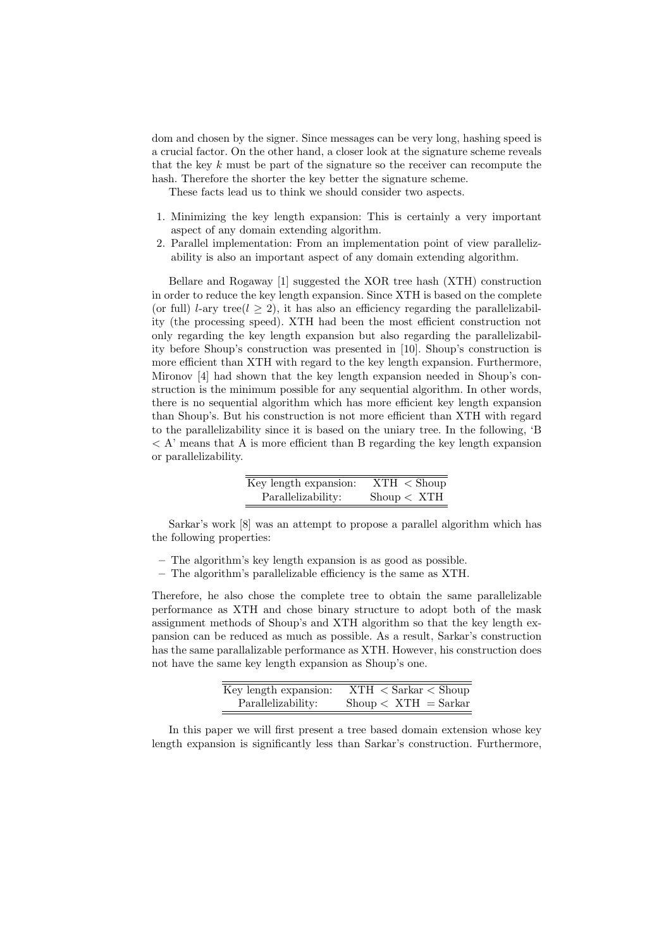dom and chosen by the signer. Since messages can be very long, hashing speed is a crucial factor. On the other hand, a closer look at the signature scheme reveals that the key  $k$  must be part of the signature so the receiver can recompute the hash. Therefore the shorter the key better the signature scheme.

These facts lead us to think we should consider two aspects.

- 1. Minimizing the key length expansion: This is certainly a very important aspect of any domain extending algorithm.
- 2. Parallel implementation: From an implementation point of view parallelizability is also an important aspect of any domain extending algorithm.

Bellare and Rogaway [1] suggested the XOR tree hash (XTH) construction in order to reduce the key length expansion. Since XTH is based on the complete (or full) l-ary tree( $l > 2$ ), it has also an efficiency regarding the parallelizability (the processing speed). XTH had been the most efficient construction not only regarding the key length expansion but also regarding the parallelizability before Shoup's construction was presented in [10]. Shoup's construction is more efficient than XTH with regard to the key length expansion. Furthermore, Mironov [4] had shown that the key length expansion needed in Shoup's construction is the minimum possible for any sequential algorithm. In other words, there is no sequential algorithm which has more efficient key length expansion than Shoup's. But his construction is not more efficient than XTH with regard to the parallelizability since it is based on the uniary tree. In the following, 'B  $\langle A \rangle$  means that A is more efficient than B regarding the key length expansion or parallelizability.

| Key length expansion: | $XTH <$ Shoup |
|-----------------------|---------------|
| Parallelizability:    | Show < XTH    |

Sarkar's work [8] was an attempt to propose a parallel algorithm which has the following properties:

- The algorithm's key length expansion is as good as possible.
- The algorithm's parallelizable efficiency is the same as XTH.

Therefore, he also chose the complete tree to obtain the same parallelizable performance as XTH and chose binary structure to adopt both of the mask assignment methods of Shoup's and XTH algorithm so that the key length expansion can be reduced as much as possible. As a result, Sarkar's construction has the same parallalizable performance as XTH. However, his construction does not have the same key length expansion as Shoup's one.

| Key length expansion: | $XTH <$ Sarkar $<$ Shoup |
|-----------------------|--------------------------|
| Parallelizability:    | $Show < XTH = Sarkar$    |

In this paper we will first present a tree based domain extension whose key length expansion is significantly less than Sarkar's construction. Furthermore,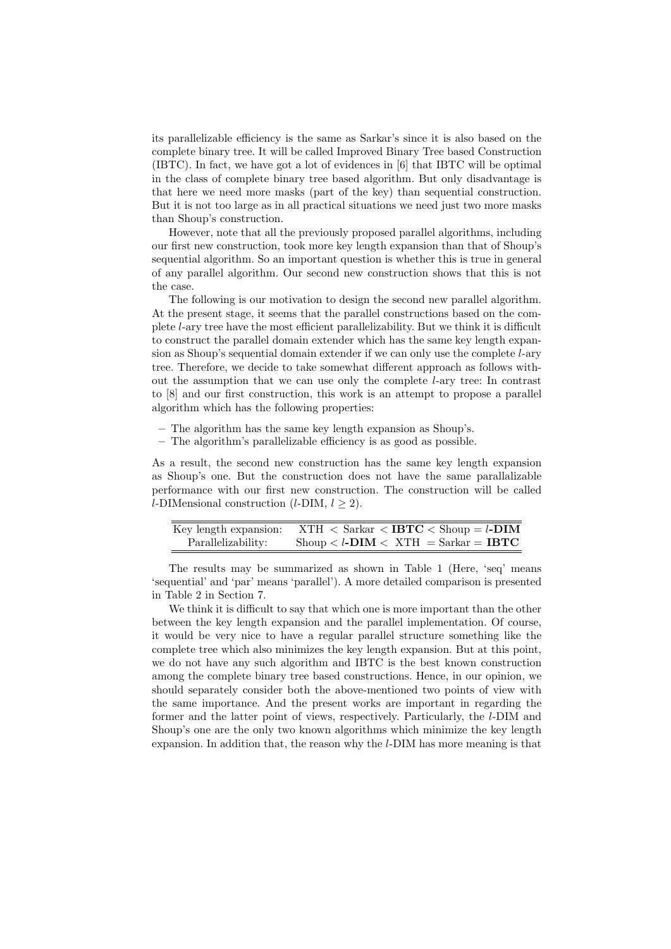its parallelizable efficiency is the same as Sarkar's since it is also based on the complete binary tree. It will be called Improved Binary Tree based Construction (IBTC). In fact, we have got a lot of evidences in [6] that IBTC will be optimal in the class of complete binary tree based algorithm. But only disadvantage is that here we need more masks (part of the key) than sequential construction. But it is not too large as in all practical situations we need just two more masks than Shoup's construction.

However, note that all the previously proposed parallel algorithms, including our first new construction, took more key length expansion than that of Shoup's sequential algorithm. So an important question is whether this is true in general of any parallel algorithm. Our second new construction shows that this is not the case.

The following is our motivation to design the second new parallel algorithm. At the present stage, it seems that the parallel constructions based on the complete l-ary tree have the most efficient parallelizability. But we think it is difficult to construct the parallel domain extender which has the same key length expansion as Shoup's sequential domain extender if we can only use the complete l-ary tree. Therefore, we decide to take somewhat different approach as follows without the assumption that we can use only the complete l-ary tree: In contrast to [8] and our first construction, this work is an attempt to propose a parallel algorithm which has the following properties:

– The algorithm has the same key length expansion as Shoup's.

– The algorithm's parallelizable efficiency is as good as possible.

As a result, the second new construction has the same key length expansion as Shoup's one. But the construction does not have the same parallalizable performance with our first new construction. The construction will be called l-DIMensional construction (l-DIM,  $l > 2$ ).

| Key length expansion: | $XTH <$ Sarkar $\langle$ IBTC $\langle$ Shoup = l-DIM |
|-----------------------|-------------------------------------------------------|
| Parallelizability:    | $\text{Show} < l$ -DIM $<$ XTH $=$ Sarkar $=$ IBTC    |

The results may be summarized as shown in Table 1 (Here, 'seq' means 'sequential' and 'par' means 'parallel'). A more detailed comparison is presented in Table 2 in Section 7.

We think it is difficult to say that which one is more important than the other between the key length expansion and the parallel implementation. Of course, it would be very nice to have a regular parallel structure something like the complete tree which also minimizes the key length expansion. But at this point, we do not have any such algorithm and IBTC is the best known construction among the complete binary tree based constructions. Hence, in our opinion, we should separately consider both the above-mentioned two points of view with the same importance. And the present works are important in regarding the former and the latter point of views, respectively. Particularly, the l-DIM and Shoup's one are the only two known algorithms which minimize the key length expansion. In addition that, the reason why the l-DIM has more meaning is that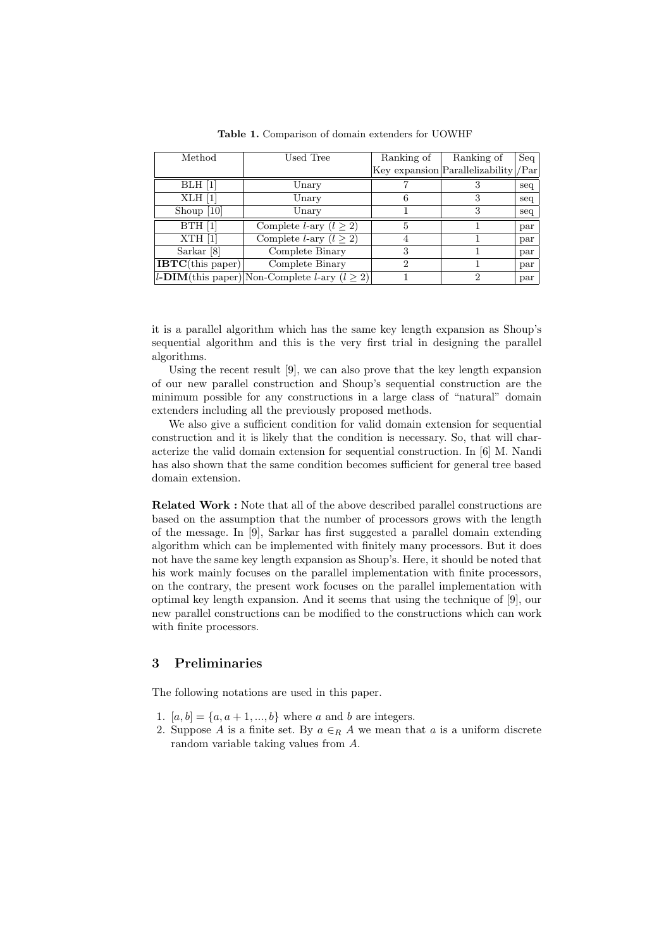| Method              | Ranking of<br>Used Tree                                             |   | Ranking of                            | Seq |
|---------------------|---------------------------------------------------------------------|---|---------------------------------------|-----|
|                     |                                                                     |   | Key expansion Parallelizability / Par |     |
| $BLH$ [1]           | Unary                                                               |   |                                       | seq |
| $XLH$ [1]           | Unary                                                               |   |                                       | seq |
| Shoup $ 10 $        | Unary                                                               |   | З                                     | seq |
| $BTH$ [1]           | Complete <i>l</i> -ary $(l > 2)$                                    | 5 |                                       | par |
| XTH[1]              | Complete <i>l</i> -ary $(l \geq 2)$                                 |   |                                       | par |
| Sarkar [8]          | Complete Binary                                                     | 3 |                                       | par |
| $IBTC$ (this paper) | Complete Binary                                                     | 2 |                                       | par |
|                     | <i>l</i> -DIM(this paper) Non-Complete <i>l</i> -ary ( $l \geq 2$ ) |   |                                       | par |

Table 1. Comparison of domain extenders for UOWHF

it is a parallel algorithm which has the same key length expansion as Shoup's sequential algorithm and this is the very first trial in designing the parallel algorithms.

Using the recent result [9], we can also prove that the key length expansion of our new parallel construction and Shoup's sequential construction are the minimum possible for any constructions in a large class of "natural" domain extenders including all the previously proposed methods.

We also give a sufficient condition for valid domain extension for sequential construction and it is likely that the condition is necessary. So, that will characterize the valid domain extension for sequential construction. In [6] M. Nandi has also shown that the same condition becomes sufficient for general tree based domain extension.

Related Work : Note that all of the above described parallel constructions are based on the assumption that the number of processors grows with the length of the message. In [9], Sarkar has first suggested a parallel domain extending algorithm which can be implemented with finitely many processors. But it does not have the same key length expansion as Shoup's. Here, it should be noted that his work mainly focuses on the parallel implementation with finite processors, on the contrary, the present work focuses on the parallel implementation with optimal key length expansion. And it seems that using the technique of [9], our new parallel constructions can be modified to the constructions which can work with finite processors.

# 3 Preliminaries

The following notations are used in this paper.

- 1.  $[a, b] = \{a, a+1, ..., b\}$  where a and b are integers.
- 2. Suppose A is a finite set. By  $a \in_R A$  we mean that a is a uniform discrete random variable taking values from A.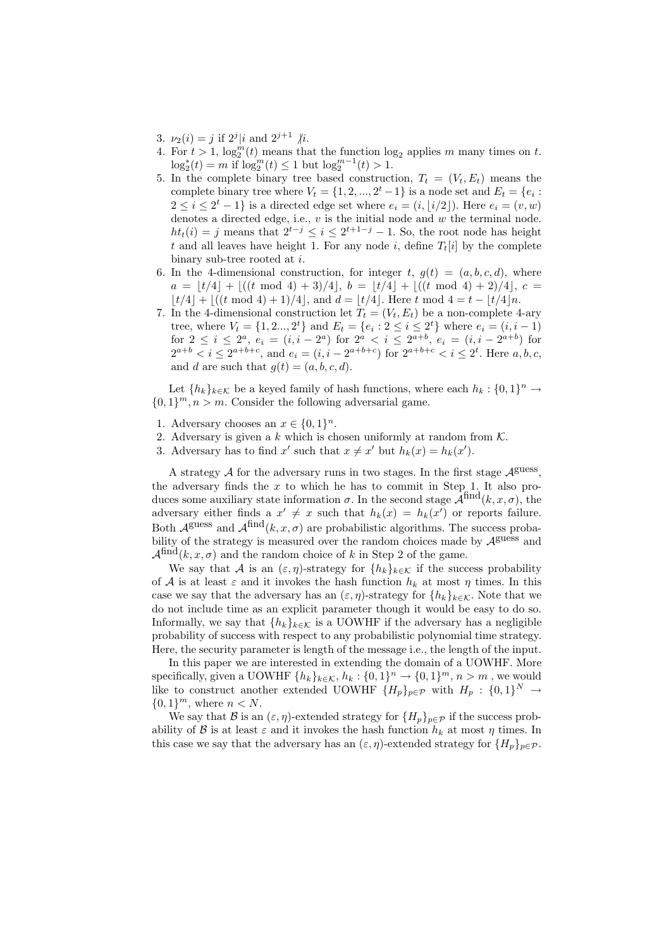- 3.  $\nu_2(i) = j$  if  $2^j|i$  and  $2^{j+1}$  /i.
- 4. For  $t > 1$ ,  $\log_2^m(t)$  means that the function  $\log_2$  applies m many times on t.  $\log_2^*(t) = m$  if  $\log_2^m(t) \le 1$  but  $\log_2^{m-1}(t) > 1$ .
- 5. In the complete binary tree based construction,  $T_t = (V_t, E_t)$  means the complete binary tree where  $V_t = \{1, 2, ..., 2^t - 1\}$  is a node set and  $E_t = \{e_i :$  $2 \leq i \leq 2^t - 1$  is a directed edge set where  $e_i = (i, \lfloor i/2 \rfloor)$ . Here  $e_i = (v, w)$ denotes a directed edge, i.e.,  $v$  is the initial node and  $w$  the terminal node.  $ht_t(i) = j$  means that  $2^{t-j} \le i \le 2^{t+1-j} - 1$ . So, the root node has height t and all leaves have height 1. For any node i, define  $T_t[i]$  by the complete binary sub-tree rooted at i.
- 6. In the 4-dimensional construction, for integer t,  $g(t) = (a, b, c, d)$ , where  $a = \lfloor t/4 \rfloor + \lfloor (t \mod 4) + 3)/4 \rfloor, b = \lfloor t/4 \rfloor + \lfloor (t \mod 4) + 2)/4 \rfloor, c =$  $|t/4| + |((t \mod 4) + 1)/4|$ , and  $d = |t/4|$ . Here t mod  $4 = t - |t/4|n$ .
- 7. In the 4-dimensional construction let  $T_t = (V_t, E_t)$  be a non-complete 4-ary tree, where  $V_t = \{1, 2..., 2^t\}$  and  $E_t = \{e_i : 2 \le i \le 2^t\}$  where  $e_i = (i, i - 1)$ for  $2 \leq i \leq 2^a$ ,  $e_i = (i, i - 2^a)$  for  $2^a < i \leq 2^{a+b}$ ,  $e_i = (i, i - 2^{a+b})$  for  $2^{a+b} < i \leq 2^{a+b+c}$ , and  $e_i = (i, i - 2^{a+b+c})$  for  $2^{a+b+c} < i \leq 2^t$ . Here  $a, b, c$ , and d are such that  $q(t) = (a, b, c, d)$ .

Let  $\{h_k\}_{k\in\mathcal{K}}$  be a keyed family of hash functions, where each  $h_k: \{0,1\}^n \to$  $\{0,1\}^m$ ,  $n > m$ . Consider the following adversarial game.

- 1. Adversary chooses an  $x \in \{0,1\}^n$ .
- 2. Adversary is given a k which is chosen uniformly at random from  $K$ .
- 3. Adversary has to find x' such that  $x \neq x'$  but  $h_k(x) = h_k(x')$ .

A strategy  $A$  for the adversary runs in two stages. In the first stage  $A^{\text{guess}}$ , the adversary finds the  $x$  to which he has to commit in Step 1. It also produces some auxiliary state information  $\sigma$ . In the second stage  $\mathcal{A}^{\text{find}}(k, x, \sigma)$ , the adversary either finds a  $x' \neq x$  such that  $h_k(x) = h_k(x')$  or reports failure. Both  $\mathcal{A}^{\text{guess}}$  and  $\mathcal{A}^{\text{find}}(k, x, \sigma)$  are probabilistic algorithms. The success probability of the strategy is measured over the random choices made by  $A<sup>guess</sup>$  and  $\mathcal{A}^{\text{find}}(k, x, \sigma)$  and the random choice of k in Step 2 of the game.

We say that A is an  $(\varepsilon, \eta)$ -strategy for  $\{h_k\}_{k\in\mathcal{K}}$  if the success probability of A is at least  $\varepsilon$  and it invokes the hash function  $h_k$  at most  $\eta$  times. In this case we say that the adversary has an  $(\varepsilon, \eta)$ -strategy for  $\{h_k\}_{k\in\mathcal{K}}$ . Note that we do not include time as an explicit parameter though it would be easy to do so. Informally, we say that  $\{h_k\}_{k\in\mathcal{K}}$  is a UOWHF if the adversary has a negligible probability of success with respect to any probabilistic polynomial time strategy. Here, the security parameter is length of the message i.e., the length of the input.

In this paper we are interested in extending the domain of a UOWHF. More specifically, given a UOWHF  $\{h_k\}_{k\in\mathcal{K}}$ ,  $h_k: \{0,1\}^n \to \{0,1\}^m$ ,  $n > m$ , we would like to construct another extended UOWHF  $\{H_p\}_{p \in \mathcal{P}}$  with  $H_p: \{0,1\}^N \to$  ${0,1}^m$ , where  $n < N$ .

We say that B is an  $(\varepsilon, \eta)$ -extended strategy for  $\{H_p\}_{p \in \mathcal{P}}$  if the success probability of B is at least  $\varepsilon$  and it invokes the hash function  $h_k$  at most  $\eta$  times. In this case we say that the adversary has an  $(\varepsilon, \eta)$ -extended strategy for  $\{H_p\}_{p \in \mathcal{P}}$ .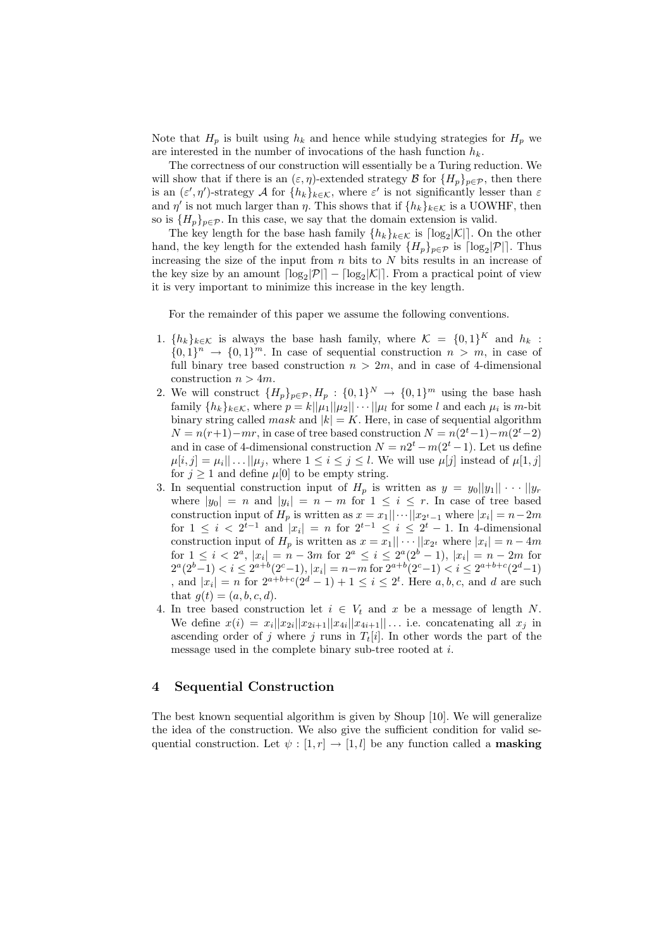Note that  $H_p$  is built using  $h_k$  and hence while studying strategies for  $H_p$  we are interested in the number of invocations of the hash function  $h_k$ .

The correctness of our construction will essentially be a Turing reduction. We will show that if there is an  $(\varepsilon, \eta)$ -extended strategy  $\mathcal B$  for  $\{H_n\}_{n\in\mathcal P}$ , then there is an  $(\varepsilon', \eta')$ -strategy A for  $\{h_k\}_{k\in\mathcal{K}}$ , where  $\varepsilon'$  is not significantly lesser than  $\varepsilon$ and  $\eta'$  is not much larger than  $\eta$ . This shows that if  $\{h_k\}_{k\in\mathcal{K}}$  is a UOWHF, then so is  $\{H_p\}_{p\in\mathcal{P}}$ . In this case, we say that the domain extension is valid.

The key length for the base hash family  $\{h_k\}_{k\in\mathcal{K}}$  is  $\lceil \log_2|\mathcal{K}|\rceil$ . On the other hand, the key length for the extended hash family  $\{H_p\}_{p \in \mathcal{P}}$  is  $\lceil \log_2|\mathcal{P}| \rceil$ . Thus increasing the size of the input from  $n$  bits to  $N$  bits results in an increase of the key size by an amount  $\lceil \log_2 |\mathcal{P}| \rceil - \lceil \log_2 |\mathcal{K}| \rceil$ . From a practical point of view it is very important to minimize this increase in the key length.

For the remainder of this paper we assume the following conventions.

- 1.  $\{h_k\}_{k\in\mathcal{K}}$  is always the base hash family, where  $\mathcal{K} = \{0,1\}^K$  and  $h_k$ :  ${0,1}^n \rightarrow {0,1}^m$ . In case of sequential construction  $n > m$ , in case of full binary tree based construction  $n > 2m$ , and in case of 4-dimensional construction  $n > 4m$ .
- 2. We will construct  $\{H_p\}_{p \in \mathcal{P}}, H_p: \{0,1\}^N \to \{0,1\}^m$  using the base hash family  $\{h_k\}_{k\in\mathcal{K}}$ , where  $p = k||\mu_1||\mu_2||\cdots||\mu_l$  for some l and each  $\mu_i$  is m-bit binary string called *mask* and  $|k| = K$ . Here, in case of sequential algorithm  $N = n(r+1)-mr$ , in case of tree based construction  $N = n(2<sup>t</sup>-1)-m(2<sup>t</sup>-2)$ and in case of 4-dimensional construction  $N = n2^t - m(2^t - 1)$ . Let us define  $\mu[i,j] = \mu_i || \dots || \mu_j$ , where  $1 \leq i \leq j \leq l$ . We will use  $\mu[j]$  instead of  $\mu[1,j]$ for  $j \ge 1$  and define  $\mu[0]$  to be empty string.
- 3. In sequential construction input of  $H_p$  is written as  $y = y_0||y_1|| \cdots ||y_r$ where  $|y_0| = n$  and  $|y_i| = n - m$  for  $1 \le i \le r$ . In case of tree based construction input of  $H_p$  is written as  $x = x_1 || \cdots || x_{2^t-1}$  where  $|x_i| = n-2m$ for  $1 \leq i < 2^{t-1}$  and  $|x_i| = n$  for  $2^{t-1} \leq i \leq 2^t - 1$ . In 4-dimensional construction input of  $H_p$  is written as  $x = x_1 || \cdots || x_{2^t}$  where  $|x_i| = n - 4m$ for  $1 \leq i < 2^a$ ,  $|x_i| = n - 3m$  for  $2^a \leq i \leq 2^a (2^b - 1)$ ,  $|x_i| = n - 2m$  for  $2^a(2^b-1) < i \leq 2^{a+b}(2^c-1), |x_i| = n-m$  for  $2^{a+b}(2^c-1) < i \leq 2^{a+b+c}(2^d-1)$ , and  $|x_i| = n$  for  $2^{a+b+c}(2^d-1)+1 \leq i \leq 2^t$ . Here  $a, b, c$ , and  $d$  are such that  $g(t) = (a, b, c, d)$ .
- 4. In tree based construction let  $i \in V_t$  and x be a message of length N. We define  $x(i) = x_i ||x_{2i}||x_{2i+1}||x_{4i}||x_{4i+1}||...$  i.e. concatenating all  $x_j$  in ascending order of j where j runs in  $T_t[i]$ . In other words the part of the message used in the complete binary sub-tree rooted at i.

### 4 Sequential Construction

The best known sequential algorithm is given by Shoup [10]. We will generalize the idea of the construction. We also give the sufficient condition for valid sequential construction. Let  $\psi : [1, r] \to [1, l]$  be any function called a **masking**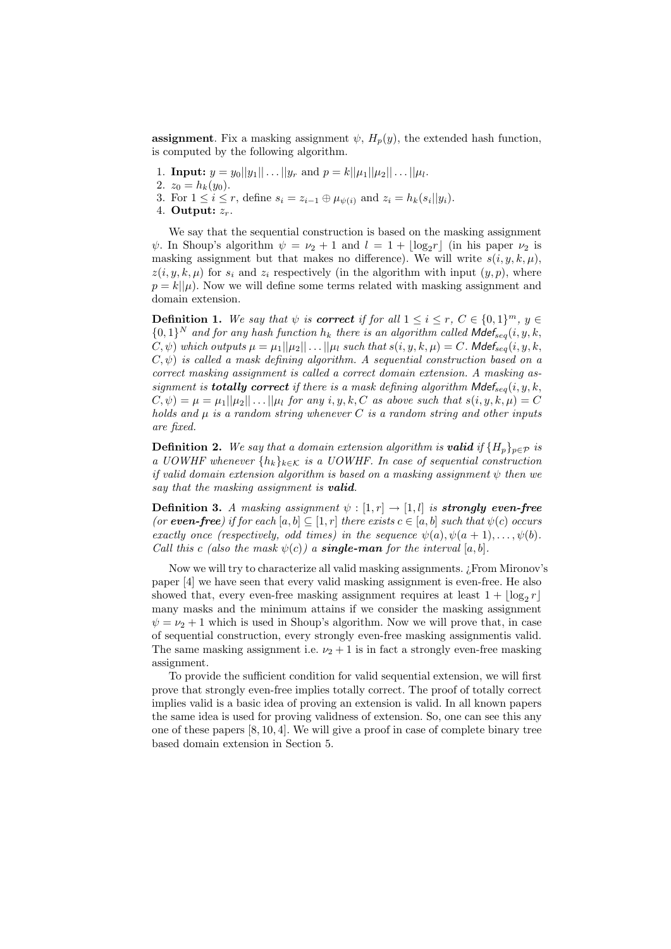assignment. Fix a masking assignment  $\psi$ ,  $H_p(y)$ , the extended hash function, is computed by the following algorithm.

- 1. **Input:**  $y = y_0||y_1|| \dots ||y_r$  and  $p = k||\mu_1||\mu_2|| \dots ||\mu_l$ .
- 2.  $z_0 = h_k(y_0)$ .
- 3. For  $1 \le i \le r$ , define  $s_i = z_{i-1} \oplus \mu_{\psi(i)}$  and  $z_i = h_k(s_i||y_i)$ .
- 4. Output:  $z_r$ .

We say that the sequential construction is based on the masking assignment  $\psi$ . In Shoup's algorithm  $\psi = \nu_2 + 1$  and  $l = 1 + \lfloor \log_2 r \rfloor$  (in his paper  $\nu_2$  is masking assignment but that makes no difference). We will write  $s(i, y, k, \mu)$ ,  $z(i, y, k, \mu)$  for  $s_i$  and  $z_i$  respectively (in the algorithm with input  $(y, p)$ , where  $p = k||\mu$ . Now we will define some terms related with masking assignment and domain extension.

**Definition 1.** We say that  $\psi$  is **correct** if for all  $1 \leq i \leq r$ ,  $C \in \{0,1\}^m$ ,  $y \in$  $\{0,1\}^N$  and for any hash function  $h_k$  there is an algorithm called Mdef<sub>seq</sub> $(i, y, k, j)$  $(C, \psi)$  which outputs  $\mu = \mu_1 ||\mu_2 || \dots ||\mu_l$  such that  $s(i, y, k, \mu) = C$ . Mdef<sub>seq</sub> $(i, y, k, \mu)$  $(C, \psi)$  is called a mask defining algorithm. A sequential construction based on a correct masking assignment is called a correct domain extension. A masking assignment is **totally correct** if there is a mask defining algorithm  $\mathsf{Mdef}_{seq}(i, y, k,$  $C, \psi$  =  $\mu = \mu_1 ||\mu_2 || \dots || \mu_l$  for any i, y, k, C as above such that  $s(i, y, k, \mu) = C$ holds and  $\mu$  is a random string whenever C is a random string and other inputs are fixed.

**Definition 2.** We say that a domain extension algorithm is **valid** if  $\{H_p\}_{p\in\mathcal{P}}$  is a UOWHF whenever  $\{h_k\}_{k\in\mathcal{K}}$  is a UOWHF. In case of sequential construction if valid domain extension algorithm is based on a masking assignment  $\psi$  then we say that the masking assignment is **valid**.

**Definition 3.** A masking assignment  $\psi : [1, r] \rightarrow [1, l]$  is **strongly even-free** (or even-free) if for each  $[a, b] \subseteq [1, r]$  there exists  $c \in [a, b]$  such that  $\psi(c)$  occurs exactly once (respectively, odd times) in the sequence  $\psi(a), \psi(a+1), \ldots, \psi(b)$ . Call this c (also the mask  $\psi(c)$ ) a **single-man** for the interval [a, b].

Now we will try to characterize all valid masking assignments. ¿From Mironov's paper [4] we have seen that every valid masking assignment is even-free. He also showed that, every even-free masking assignment requires at least  $1 + \lfloor \log_2 r \rfloor$ many masks and the minimum attains if we consider the masking assignment  $\psi = \nu_2 + 1$  which is used in Shoup's algorithm. Now we will prove that, in case of sequential construction, every strongly even-free masking assignmentis valid. The same masking assignment i.e.  $\nu_2 + 1$  is in fact a strongly even-free masking assignment.

To provide the sufficient condition for valid sequential extension, we will first prove that strongly even-free implies totally correct. The proof of totally correct implies valid is a basic idea of proving an extension is valid. In all known papers the same idea is used for proving validness of extension. So, one can see this any one of these papers [8, 10, 4]. We will give a proof in case of complete binary tree based domain extension in Section 5.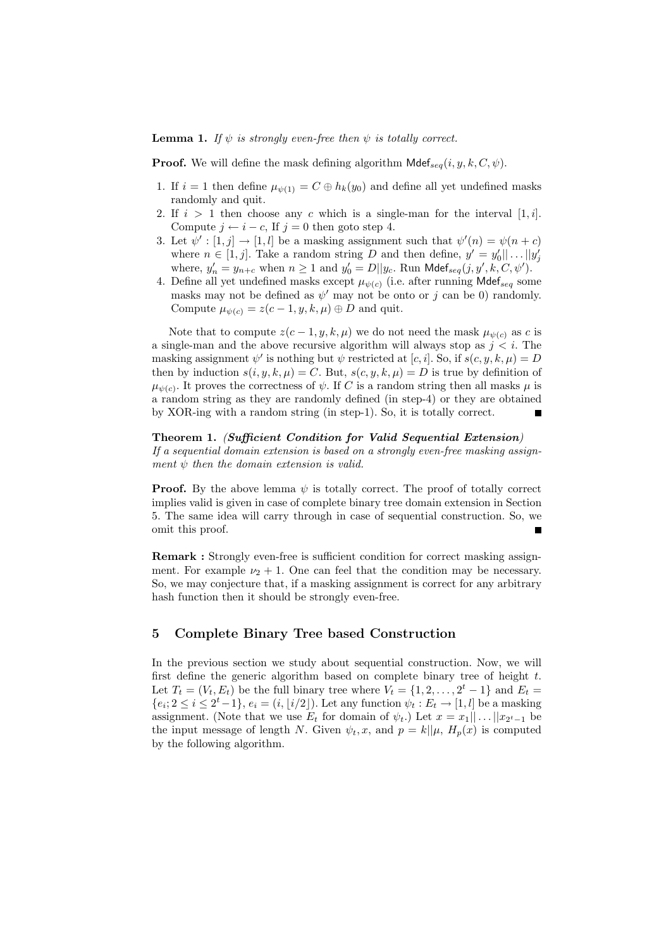**Lemma 1.** If  $\psi$  is strongly even-free then  $\psi$  is totally correct.

**Proof.** We will define the mask defining algorithm  $\mathsf{Mdef}_{seq}(i, y, k, C, \psi)$ .

- 1. If  $i = 1$  then define  $\mu_{\psi(1)} = C \oplus h_k(y_0)$  and define all yet undefined masks randomly and quit.
- 2. If  $i > 1$  then choose any c which is a single-man for the interval [1, i]. Compute  $j \leftarrow i - c$ , If  $j = 0$  then goto step 4.
- 3. Let  $\psi' : [1, j] \to [1, l]$  be a masking assignment such that  $\psi'(n) = \psi(n + c)$ where  $n \in [1, j]$ . Take a random string D and then define,  $y' = y'_0 || \dots ||y'_j$ where,  $y'_n = y_{n+c}$  when  $n \ge 1$  and  $y'_0 = D||y_c$ . Run Mdef<sub>seq</sub>(j, y', k, C,  $\psi'$ ).
- 4. Define all yet undefined masks except  $\mu_{\psi(c)}$  (i.e. after running Mdef<sub>seq</sub> some masks may not be defined as  $\psi'$  may not be onto or j can be 0) randomly. Compute  $\mu_{\psi(c)} = z(c-1, y, k, \mu) \oplus D$  and quit.

Note that to compute  $z(c-1, y, k, \mu)$  we do not need the mask  $\mu_{\psi(c)}$  as c is a single-man and the above recursive algorithm will always stop as  $j < i$ . The masking assignment  $\psi'$  is nothing but  $\psi$  restricted at [c, i]. So, if  $s(c, y, k, \mu) = D$ then by induction  $s(i, y, k, \mu) = C$ . But,  $s(c, y, k, \mu) = D$  is true by definition of  $\mu_{\psi(c)}$ . It proves the correctness of  $\psi$ . If C is a random string then all masks  $\mu$  is a random string as they are randomly defined (in step-4) or they are obtained by XOR-ing with a random string (in step-1). So, it is totally correct.  $\blacksquare$ 

## Theorem 1. (Sufficient Condition for Valid Sequential Extension)

If a sequential domain extension is based on a strongly even-free masking assignment  $\psi$  then the domain extension is valid.

**Proof.** By the above lemma  $\psi$  is totally correct. The proof of totally correct implies valid is given in case of complete binary tree domain extension in Section 5. The same idea will carry through in case of sequential construction. So, we omit this proof.  $\blacksquare$ 

Remark : Strongly even-free is sufficient condition for correct masking assignment. For example  $\nu_2 + 1$ . One can feel that the condition may be necessary. So, we may conjecture that, if a masking assignment is correct for any arbitrary hash function then it should be strongly even-free.

#### 5 Complete Binary Tree based Construction

In the previous section we study about sequential construction. Now, we will first define the generic algorithm based on complete binary tree of height  $t$ . Let  $T_t = (V_t, E_t)$  be the full binary tree where  $V_t = \{1, 2, ..., 2^t - 1\}$  and  $E_t =$  ${e_i; 2 \le i \le 2^t-1}, e_i = (i, \lfloor i/2 \rfloor)$ . Let any function  $\psi_t : E_t \to [1, l]$  be a masking assignment. (Note that we use  $E_t$  for domain of  $\psi_t$ .) Let  $x = x_1 || \dots || x_{2^t-1}$  be the input message of length N. Given  $\psi_t, x$ , and  $p = k || \mu, H_p(x)$  is computed by the following algorithm.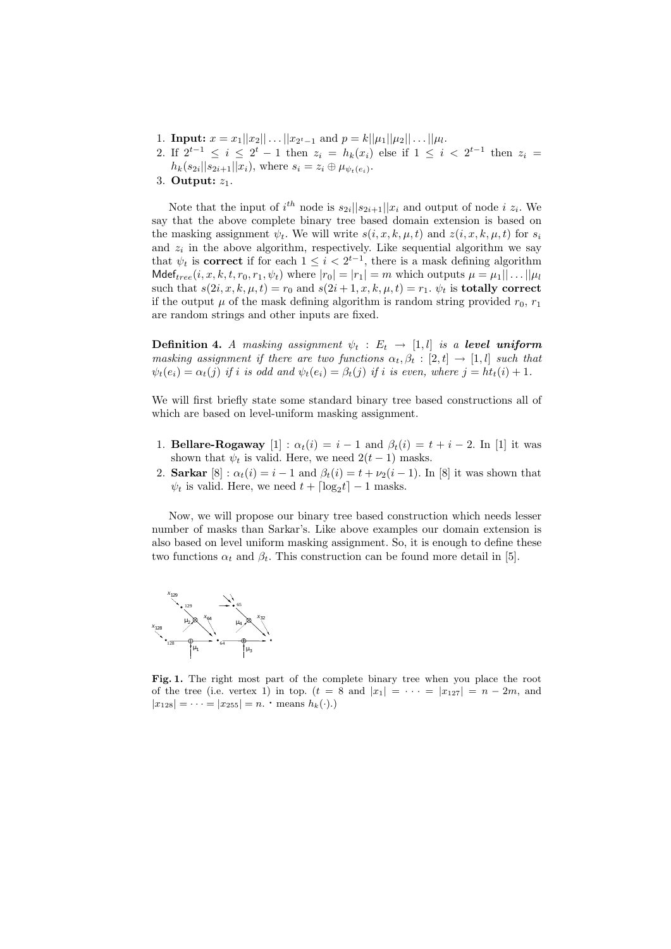1. **Input:**  $x = x_1 ||x_2|| \dots ||x_{2^t-1}$  and  $p = k||\mu_1||\mu_2|| \dots ||\mu_l$ .

2. If  $2^{t-1} \leq i \leq 2^t - 1$  then  $z_i = h_k(x_i)$  else if  $1 \leq i < 2^{t-1}$  then  $z_i =$  $h_k(s_{2i}||s_{2i+1}||x_i)$ , where  $s_i = z_i \oplus \mu_{\psi_t(e_i)}$ .

3. Output:  $z_1$ .

Note that the input of  $i^{th}$  node is  $s_{2i}||s_{2i+1}||x_i$  and output of node  $i z_i$ . We say that the above complete binary tree based domain extension is based on the masking assignment  $\psi_t$ . We will write  $s(i, x, k, \mu, t)$  and  $z(i, x, k, \mu, t)$  for  $s_i$ and  $z_i$  in the above algorithm, respectively. Like sequential algorithm we say that  $\psi_t$  is **correct** if for each  $1 \leq i < 2^{t-1}$ , there is a mask defining algorithm Mdef<sub>tree</sub> $(i, x, k, t, r_0, r_1, \psi_t)$  where  $|r_0| = |r_1| = m$  which outputs  $\mu = \mu_1 || \dots || \mu_l$ such that  $s(2i, x, k, \mu, t) = r_0$  and  $s(2i+1, x, k, \mu, t) = r_1$ .  $\psi_t$  is totally correct if the output  $\mu$  of the mask defining algorithm is random string provided  $r_0$ ,  $r_1$ are random strings and other inputs are fixed.

**Definition 4.** A masking assignment  $\psi_t$  :  $E_t \rightarrow [1, l]$  is a level uniform masking assignment if there are two functions  $\alpha_t, \beta_t : [2, t] \rightarrow [1, l]$  such that  $\psi_t(e_i) = \alpha_t(j)$  if i is odd and  $\psi_t(e_i) = \beta_t(j)$  if i is even, where  $j = ht_t(i) + 1$ .

We will first briefly state some standard binary tree based constructions all of which are based on level-uniform masking assignment.

- 1. Bellare-Rogaway  $[1] : \alpha_t(i) = i 1$  and  $\beta_t(i) = t + i 2$ . In [1] it was shown that  $\psi_t$  is valid. Here, we need  $2(t-1)$  masks.
- 2. Sarkar [8] :  $\alpha_t(i) = i 1$  and  $\beta_t(i) = t + \nu_2(i 1)$ . In [8] it was shown that  $\psi_t$  is valid. Here, we need  $t + \lceil \log_2 t \rceil - 1$  masks.

Now, we will propose our binary tree based construction which needs lesser number of masks than Sarkar's. Like above examples our domain extension is also based on level uniform masking assignment. So, it is enough to define these two functions  $\alpha_t$  and  $\beta_t$ . This construction can be found more detail in [5].



Fig. 1. The right most part of the complete binary tree when you place the root of the tree (i.e. vertex 1) in top.  $(t = 8$  and  $|x_1| = \cdots = |x_{127}| = n - 2m$ , and  $|x_{128}| = \cdots = |x_{255}| = n \cdot \text{means } h_k(\cdot).$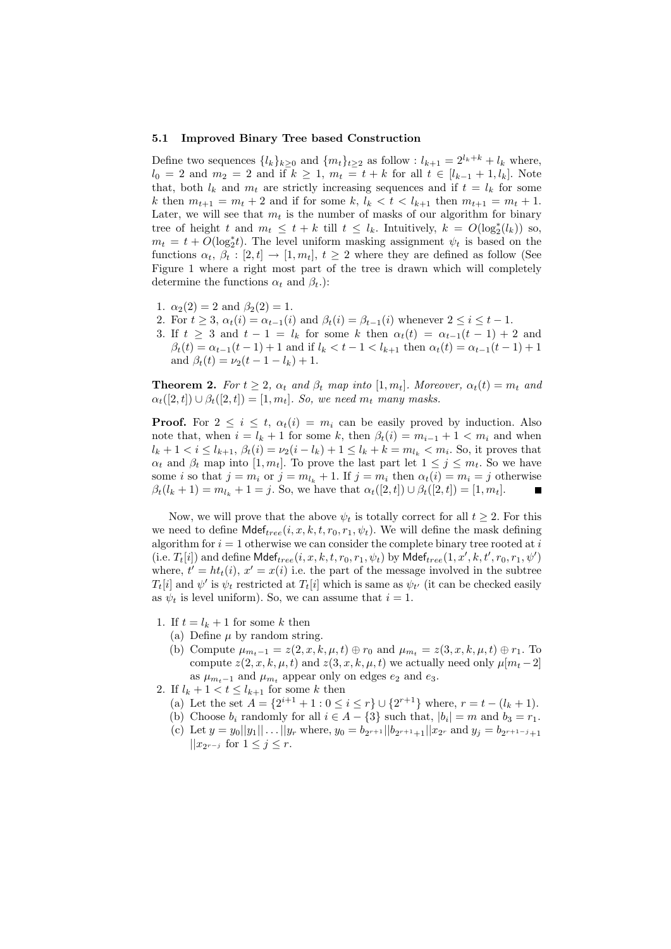#### 5.1 Improved Binary Tree based Construction

Define two sequences  ${l_k}_{k\geq0}$  and  ${m_t}_{t\geq2}$  as follow :  $l_{k+1}=2^{l_k+k}+l_k$  where,  $l_0 = 2$  and  $m_2 = 2$  and if  $k \ge 1$ ,  $m_t = t + k$  for all  $t \in [l_{k-1} + 1, l_k]$ . Note that, both  $l_k$  and  $m_t$  are strictly increasing sequences and if  $t = l_k$  for some k then  $m_{t+1} = m_t + 2$  and if for some k,  $l_k < t < l_{k+1}$  then  $m_{t+1} = m_t + 1$ . Later, we will see that  $m_t$  is the number of masks of our algorithm for binary tree of height t and  $m_t \leq t + k$  till  $t \leq l_k$ . Intuitively,  $k = O(\log_2^*(l_k))$  so,  $m_t = t + O(\log_2^* t)$ . The level uniform masking assignment  $\psi_t$  is based on the functions  $\alpha_t, \beta_t : [2, t] \to [1, m_t], t \geq 2$  where they are defined as follow (See Figure 1 where a right most part of the tree is drawn which will completely determine the functions  $\alpha_t$  and  $\beta_t$ .):

- 1.  $\alpha_2(2) = 2$  and  $\beta_2(2) = 1$ .
- 2. For  $t \geq 3$ ,  $\alpha_t(i) = \alpha_{t-1}(i)$  and  $\beta_t(i) = \beta_{t-1}(i)$  whenever  $2 \leq i \leq t-1$ .
- 3. If  $t \geq 3$  and  $t 1 = l_k$  for some k then  $\alpha_t(t) = \alpha_{t-1}(t-1) + 2$  and  $\beta_t(t) = \alpha_{t-1}(t-1) + 1$  and if  $l_k < t-1 < l_{k+1}$  then  $\alpha_t(t) = \alpha_{t-1}(t-1) + 1$ and  $\beta_t(t) = \nu_2(t - 1 - l_k) + 1$ .

**Theorem 2.** For  $t \geq 2$ ,  $\alpha_t$  and  $\beta_t$  map into  $[1, m_t]$ . Moreover,  $\alpha_t(t) = m_t$  and  $\alpha_t([2, t]) \cup \beta_t([2, t]) = [1, m_t]$ . So, we need  $m_t$  many masks.

**Proof.** For  $2 \leq i \leq t$ ,  $\alpha_t(i) = m_i$  can be easily proved by induction. Also note that, when  $i = l_k + 1$  for some k, then  $\beta_t(i) = m_{i-1} + 1 < m_i$  and when  $l_k + 1 < i \leq l_{k+1}, \beta_t(i) = \nu_2(i - l_k) + 1 \leq l_k + k = m_{l_k} < m_i$ . So, it proves that  $\alpha_t$  and  $\beta_t$  map into [1, m<sub>t</sub>]. To prove the last part let  $1 \leq j \leq m_t$ . So we have some i so that  $j = m_i$  or  $j = m_{l_k} + 1$ . If  $j = m_i$  then  $\alpha_i(i) = m_i = j$  otherwise  $\beta_t(l_k + 1) = m_{l_k} + 1 = j$ . So, we have that  $\alpha_t([2, t]) \cup \beta_t([2, t]) = [1, m_t]$ .

Now, we will prove that the above  $\psi_t$  is totally correct for all  $t \geq 2$ . For this we need to define  $\text{Mdef}_{tree}(i, x, k, t, r_0, r_1, \psi_t)$ . We will define the mask defining algorithm for  $i = 1$  otherwise we can consider the complete binary tree rooted at i (i.e.  $T_t[i]$ ) and define  $\mathsf{Mdef}_{tree}(i, x, k, t, r_0, r_1, \psi_t)$  by  $\mathsf{Mdef}_{tree}(1, x', k, t', r_0, r_1, \psi')$ where,  $t' = ht_t(i)$ ,  $x' = x(i)$  i.e. the part of the message involved in the subtree  $T_t[i]$  and  $\psi'$  is  $\psi_t$  restricted at  $T_t[i]$  which is same as  $\psi_{t'}$  (it can be checked easily as  $\psi_t$  is level uniform). So, we can assume that  $i = 1$ .

- 1. If  $t = l_k + 1$  for some k then
	- (a) Define  $\mu$  by random string.
	- (b) Compute  $\mu_{m_t-1} = z(2, x, k, \mu, t) \oplus r_0$  and  $\mu_{m_t} = z(3, x, k, \mu, t) \oplus r_1$ . To compute  $z(2, x, k, \mu, t)$  and  $z(3, x, k, \mu, t)$  we actually need only  $\mu[m_t-2]$ as  $\mu_{m_t-1}$  and  $\mu_{m_t}$  appear only on edges  $e_2$  and  $e_3$ .
- 2. If  $l_k + 1 < t \leq l_{k+1}$  for some k then
	- (a) Let the set  $A = \{2^{i+1} + 1 : 0 \le i \le r\} \cup \{2^{r+1}\}\$  where,  $r = t (l_k + 1)$ .
	- (b) Choose  $b_i$  randomly for all  $i \in A \{3\}$  such that,  $|b_i| = m$  and  $b_3 = r_1$ .
	- (c) Let  $y = y_0||y_1|| \dots ||y_r$  where,  $y_0 = b_{2r+1}||b_{2r+1+1}||x_{2r}$  and  $y_j = b_{2r+1-j+1}$  $||x_{2^{r-j}}$  for  $1 \leq j \leq r$ .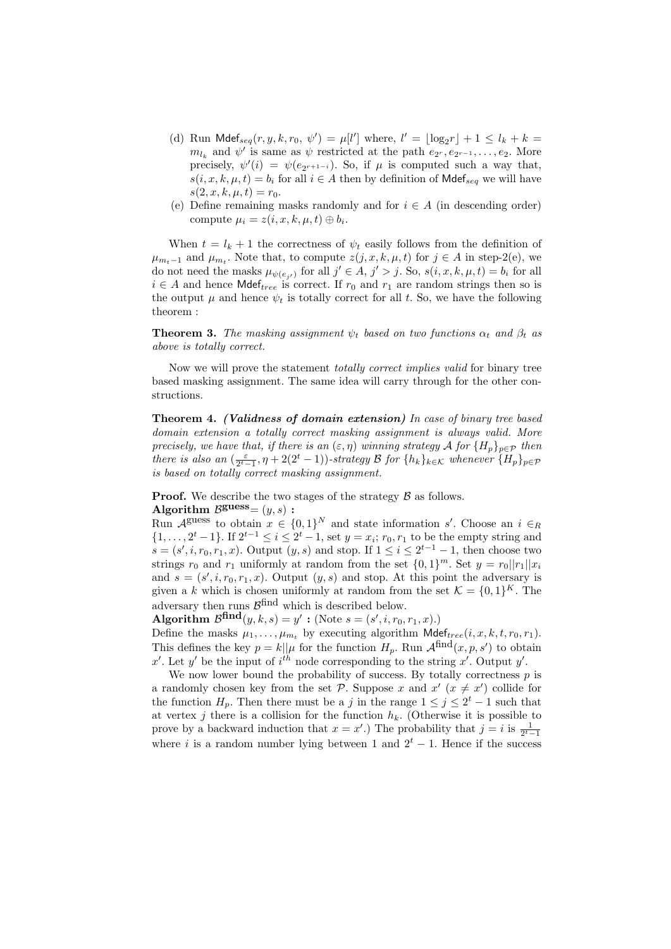- (d) Run  $\text{Mdef}_{seq}(r, y, k, r_0, \psi') = \mu[l']$  where,  $l' = \lfloor \log_2 r \rfloor + 1 \le l_k + k =$  $m_{l_k}$  and  $\psi'$  is same as  $\psi$  restricted at the path  $e_{2r}, e_{2r-1}, \ldots, e_2$ . More precisely,  $\psi'(i) = \psi(e_{2^{r+1-i}})$ . So, if  $\mu$  is computed such a way that,  $s(i, x, k, \mu, t) = b_i$  for all  $i \in A$  then by definition of Mdef<sub>seq</sub> we will have  $s(2, x, k, \mu, t) = r_0.$
- (e) Define remaining masks randomly and for  $i \in A$  (in descending order) compute  $\mu_i = z(i, x, k, \mu, t) \oplus b_i$ .

When  $t = l_k + 1$  the correctness of  $\psi_t$  easily follows from the definition of  $\mu_{m_t-1}$  and  $\mu_{m_t}$ . Note that, to compute  $z(j, x, k, \mu, t)$  for  $j \in A$  in step-2(e), we do not need the masks  $\mu_{\psi(e_{j'})}$  for all  $j' \in A$ ,  $j' > j$ . So,  $s(i, x, k, \mu, t) = b_i$  for all  $i \in A$  and hence Mdef<sub>tree</sub> is correct. If  $r_0$  and  $r_1$  are random strings then so is the output  $\mu$  and hence  $\psi_t$  is totally correct for all t. So, we have the following theorem :

**Theorem 3.** The masking assignment  $\psi_t$  based on two functions  $\alpha_t$  and  $\beta_t$  as above is totally correct.

Now we will prove the statement totally correct implies valid for binary tree based masking assignment. The same idea will carry through for the other constructions.

Theorem 4. (Validness of domain extension) In case of binary tree based domain extension a totally correct masking assignment is always valid. More precisely, we have that, if there is an  $(\varepsilon, \eta)$  winning strategy A for  $\{H_p\}_{p \in \mathcal{P}}$  then there is also an  $(\frac{\varepsilon}{2^t-1},\eta+2(2^t-1))$ -strategy  $\mathcal B$  for  $\{h_k\}_{k\in\mathcal K}$  whenever  $\{H_p\}_{p\in\mathcal P}$ is based on totally correct masking assignment.

**Proof.** We describe the two stages of the strategy  $\beta$  as follows.

Algorithm  $\mathcal{B}$ guess<sub>=  $(y, s)$ </sub>:

Run  $\mathcal{A}^{\text{guess}}$  to obtain  $x \in \{0,1\}^N$  and state information s'. Choose an  $i \in_R$  $\{1, \ldots, 2^t - 1\}$ . If  $2^{t-1} \le i \le 2^t - 1$ , set  $y = x_i$ ;  $r_0, r_1$  to be the empty string and  $s = (s', i, r_0, r_1, x)$ . Output  $(y, s)$  and stop. If  $1 \le i \le 2^{t-1} - 1$ , then choose two strings  $r_0$  and  $r_1$  uniformly at random from the set  $\{0, 1\}^m$ . Set  $y = r_0 ||r_1|| x_i$ and  $s = (s', i, r_0, r_1, x)$ . Output  $(y, s)$  and stop. At this point the adversary is given a k which is chosen uniformly at random from the set  $\mathcal{K} = \{0,1\}^K$ . The adversary then runs  $\mathcal{B}^{\text{find}}$  which is described below.

Algorithm  $\mathcal{B}^{\text{find}}(y, k, s) = y'$ : (Note  $s = (s', i, r_0, r_1, x)$ .)

Define the masks  $\mu_1, \ldots, \mu_{m_t}$  by executing algorithm  $\mathsf{Mdef}_{tree}(i, x, k, t, r_0, r_1)$ . This defines the key  $p = k||\mu$  for the function  $H_p$ . Run  $\mathcal{A}^{\text{find}}(x, p, s')$  to obtain x'. Let y' be the input of  $i^{th}$  node corresponding to the string x'. Output y'.

We now lower bound the probability of success. By totally correctness  $p$  is a randomly chosen key from the set  $P$ . Suppose x and  $x'$  ( $x \neq x'$ ) collide for the function  $H_p$ . Then there must be a j in the range  $1 \leq j \leq 2^t - 1$  such that at vertex j there is a collision for the function  $h_k$ . (Otherwise it is possible to prove by a backward induction that  $x = x'$ .) The probability that  $j = i$  is  $\frac{1}{2^{t}-1}$ where i is a random number lying between 1 and  $2<sup>t</sup> - 1$ . Hence if the success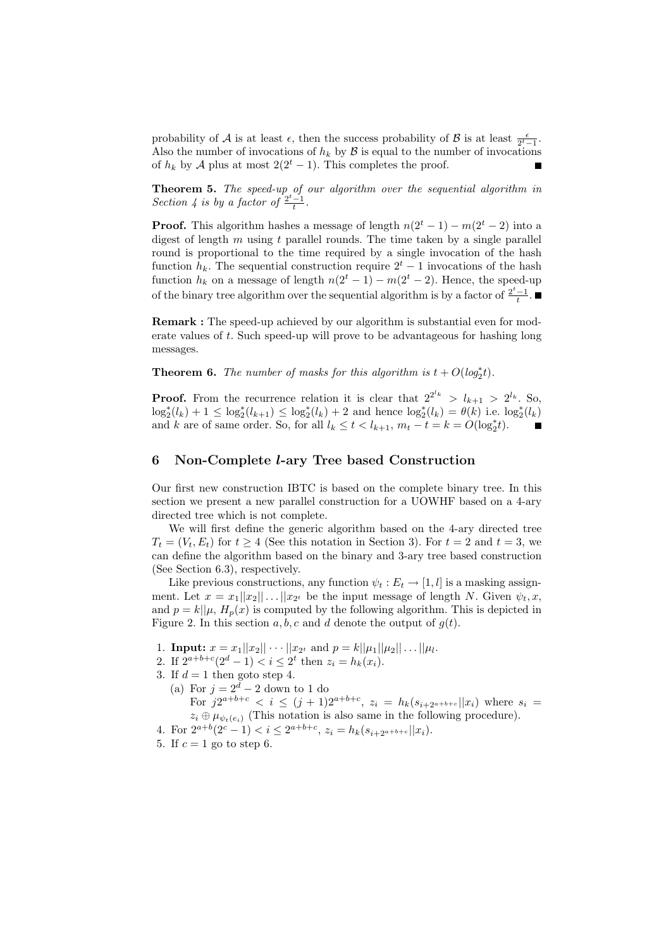probability of A is at least  $\epsilon$ , then the success probability of B is at least  $\frac{\epsilon}{2^t-1}$ . Also the number of invocations of  $h_k$  by  $\mathcal B$  is equal to the number of invocations of  $h_k$  by A plus at most  $2(2^t - 1)$ . This completes the proof.

**Theorem 5.** The speed-up of our algorithm over the sequential algorithm in Section 4 is by a factor of  $\frac{2^t-1}{t}$ .

**Proof.** This algorithm hashes a message of length  $n(2^t - 1) - m(2^t - 2)$  into a digest of length  $m$  using  $t$  parallel rounds. The time taken by a single parallel round is proportional to the time required by a single invocation of the hash function  $h_k$ . The sequential construction require  $2^t - 1$  invocations of the hash function  $h_k$  on a message of length  $n(2^t - 1) - m(2^t - 2)$ . Hence, the speed-up of the binary tree algorithm over the sequential algorithm is by a factor of  $\frac{2^t-1}{t}$ .

Remark : The speed-up achieved by our algorithm is substantial even for moderate values of  $t$ . Such speed-up will prove to be advantageous for hashing long messages.

**Theorem 6.** The number of masks for this algorithm is  $t + O(log_2^* t)$ .

**Proof.** From the recurrence relation it is clear that  $2^{2^{l_k}} > l_{k+1} > 2^{l_k}$ . So,  $\log_2^*(l_k) + 1 \leq \log_2^*(l_{k+1}) \leq \log_2^*(l_k) + 2$  and hence  $\log_2^*(l_k) = \theta(k)$  i.e.  $\log_2^*(l_k)$ and k are of same order. So, for all  $l_k \leq t < l_{k+1}$ ,  $m_t - t = k = O(\log_2^* t)$ .

## 6 Non-Complete l-ary Tree based Construction

Our first new construction IBTC is based on the complete binary tree. In this section we present a new parallel construction for a UOWHF based on a 4-ary directed tree which is not complete.

We will first define the generic algorithm based on the 4-ary directed tree  $T_t = (V_t, E_t)$  for  $t \geq 4$  (See this notation in Section 3). For  $t = 2$  and  $t = 3$ , we can define the algorithm based on the binary and 3-ary tree based construction (See Section 6.3), respectively.

Like previous constructions, any function  $\psi_t : E_t \to [1, l]$  is a masking assignment. Let  $x = x_1 ||x_2|| \dots ||x_{2^t}$  be the input message of length N. Given  $\psi_t, x$ , and  $p = k||\mu, H_p(x)$  is computed by the following algorithm. This is depicted in Figure 2. In this section a, b, c and d denote the output of  $g(t)$ .

- 1. **Input:**  $x = x_1 ||x_2|| \cdots ||x_{2^t}$  and  $p = k||\mu_1||\mu_2|| \ldots ||\mu_l$ .
- 2. If  $2^{a+b+c}(2^d-1) < i \leq 2^t$  then  $z_i = h_k(x_i)$ .
- 3. If  $d = 1$  then goto step 4.
	- (a) For  $j = 2^{\overline{d}} 2$  down to 1 do For  $j2^{a+b+c} < i \le (j+1)2^{a+b+c}$ ,  $z_i = h_k(s_{i+2^{a+b+c}}||x_i)$  where  $s_i =$  $z_i \oplus \mu_{\psi_t(e_i)}$  (This notation is also same in the following procedure).

4. For  $2^{a+b}(2^c-1) < i \leq 2^{a+b+c}, z_i = h_k(s_{i+2^{a+b+c}}||x_i)$ .

5. If  $c = 1$  go to step 6.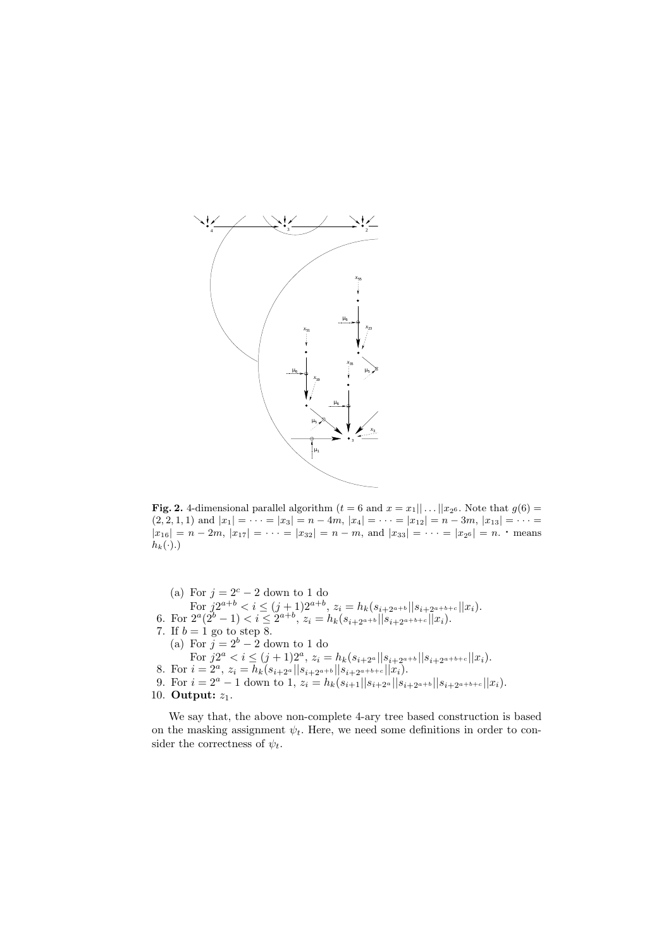

Fig. 2. 4-dimensional parallel algorithm ( $t = 6$  and  $x = x_1 || \dots || x_{26}$ . Note that  $g(6) =$  $(2, 2, 1, 1)$  and  $|x_1| = \cdots = |x_3| = n - 4m$ ,  $|x_4| = \cdots = |x_{12}| = n - 3m$ ,  $|x_{13}| = \cdots = |x_{1n}|$  $|x_{16}| = n - 2m$ ,  $|x_{17}| = \cdots = |x_{32}| = n - m$ , and  $|x_{33}| = \cdots = |x_{26}| = n$ . · means  $h_k(\cdot).$ 

(a) For  $j = 2<sup>c</sup> - 2$  down to 1 do For  $j2^{a+b} < i \le (j+1)2^{a+b}$ ,  $z_i = h_k(s_{i+2^{a+b}} || s_{i+2^{a+b+c}} || x_i)$ . 6. For  $2^a(2^b-1) < i \leq 2^{a+b}$ ,  $z_i = h_k(s_{i+2^{a+b}} || s_{i+2^{a+b+c}} || x_i)$ . 7. If  $b = 1$  go to step 8. (a) For  $j = 2^b - 2$  down to 1 do For  $j2^a < i \le (j+1)2^a$ ,  $z_i = h_k(s_{i+2^a}||s_{i+2^{a+b}}||s_{i+2^{a+b+c}}||x_i)$ . 8. For  $i = 2^a$ ,  $z_i = h_k(s_{i+2^a}||s_{i+2^{a+b}}||s_{i+2^{a+b+c}}||x_i)$ . 9. For  $i = 2^a - 1$  down to  $1, z_i = h_k(s_{i+1}||s_{i+2^a}||s_{i+2^{a+b}}||s_{i+2^{a+b+c}}||x_i)$ . 10. Output:  $z_1$ .

We say that, the above non-complete 4-ary tree based construction is based on the masking assignment  $\psi_t$ . Here, we need some definitions in order to consider the correctness of  $\psi_t$ .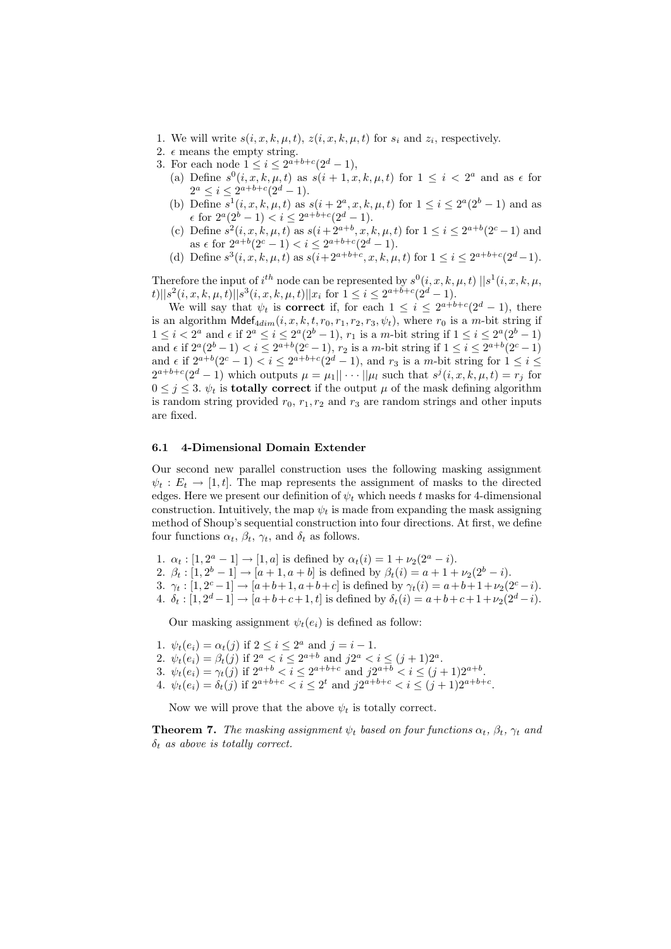- 1. We will write  $s(i, x, k, \mu, t)$ ,  $z(i, x, k, \mu, t)$  for  $s_i$  and  $z_i$ , respectively.
- 2.  $\epsilon$  means the empty string.
- 3. For each node  $1 \leq i \leq 2^{a+b+c}(2^d-1)$ ,
	- (a) Define  $s^0(i, x, k, \mu, t)$  as  $s(i + 1, x, k, \mu, t)$  for  $1 \leq i < 2^a$  and as  $\epsilon$  for  $2^a \leq i \leq 2^{a+b+c} (2^d - 1).$
	- (b) Define  $s^1(i, x, k, \mu, t)$  as  $s(i + 2^a, x, k, \mu, t)$  for  $1 \le i \le 2^a(2^b 1)$  and as  $\epsilon$  for  $2^a(2^b - 1) < i \leq 2^{a+b+c}(2^d - 1)$ .
	- (c) Define  $s^2(i, x, k, \mu, t)$  as  $s(i+2^{a+b}, x, k, \mu, t)$  for  $1 \le i \le 2^{a+b}(2^c-1)$  and as  $\epsilon$  for  $2^{a+b}(2^c-1) < i \leq 2^{a+b+c}(2^d-1)$ .
	- (d) Define  $s^3(i, x, k, \mu, t)$  as  $s(i+2^{a+b+c}, x, k, \mu, t)$  for  $1 \le i \le 2^{a+b+c}(2^d-1)$ .

Therefore the input of  $i^{th}$  node can be represented by  $s^0(i, x, k, \mu, t)$   $||s^1(i, x, k, \mu, t)||$  $|t\rangle||s^2(i, x, k, \mu, t)||s^3(i, x, k, \mu, t)||x_i$  for  $1 \leq i \leq 2^{a+b+c}(2^d-1)$ .

We will say that  $\psi_t$  is **correct** if, for each  $1 \leq i \leq 2^{a+b+c}(2^d-1)$ , there is an algorithm  $\mathsf{Mdef}_{\mathit{ddim}}(i, x, k, t, r_0, r_1, r_2, r_3, \psi_t)$ , where  $r_0$  is a m-bit string if  $1 \leq i < 2^a$  and  $\epsilon$  if  $2^a \leq i \leq 2^a(2^b-1)$ ,  $r_1$  is a m-bit string if  $1 \leq i \leq 2^a(2^b-1)$ and  $\epsilon$  if  $2^a(2^b-1) < i \leq 2^{a+b}(2^c-1)$ ,  $r_2$  is a m-bit string if  $1 \leq i \leq 2^{a+b}(2^c-1)$ and  $\epsilon$  if  $2^{a+b}(2^c-1) < i \leq 2^{a+b+c}(2^d-1)$ , and  $r_3$  is a m-bit string for  $1 \leq i \leq$  $2^{a+b+c}(2^d-1)$  which outputs  $\mu = \mu_1 || \cdots || \mu_l$  such that  $s^j(i, x, k, \mu, t) = r_j$  for  $0 \leq j \leq 3$ .  $\psi_t$  is **totally correct** if the output  $\mu$  of the mask defining algorithm is random string provided  $r_0$ ,  $r_1$ ,  $r_2$  and  $r_3$  are random strings and other inputs are fixed.

#### 6.1 4-Dimensional Domain Extender

Our second new parallel construction uses the following masking assignment  $\psi_t : E_t \to [1, t]$ . The map represents the assignment of masks to the directed edges. Here we present our definition of  $\psi_t$  which needs t masks for 4-dimensional construction. Intuitively, the map  $\psi_t$  is made from expanding the mask assigning method of Shoup's sequential construction into four directions. At first, we define four functions  $\alpha_t$ ,  $\beta_t$ ,  $\gamma_t$ , and  $\delta_t$  as follows.

- 1.  $\alpha_t : [1, 2^a 1] \to [1, a]$  is defined by  $\alpha_t(i) = 1 + \nu_2(2^a i)$ .
- 2.  $\beta_t : [1, 2^b 1] \to [a + 1, a + b]$  is defined by  $\beta_t(i) = a + 1 + \nu_2(2^b i)$ .
- 3.  $\gamma_t : [1, 2^c 1] \to [a+b+1, a+b+c]$  is defined by  $\gamma_t(i) = a+b+1+\nu_2(2^c i)$ .
- 4.  $\delta_t : [1, 2^d 1] \to [a+b+c+1, t]$  is defined by  $\delta_t(i) = a+b+c+1+\nu_2(2^d i)$ .

Our masking assignment  $\psi_t(e_i)$  is defined as follow:

- 1.  $\psi_t(e_i) = \alpha_t(j)$  if  $2 \le i \le 2^a$  and  $j = i 1$ .
- 2.  $\psi_t(e_i) = \beta_t(j)$  if  $2^a < i \leq 2^{a+b}$  and  $j2^a < i \leq (j+1)2^a$ .
- 3.  $\psi_t(e_i) = \gamma_t(j)$  if  $2^{a+b} < i \leq 2^{a+b+c}$  and  $j2^{a+b} < i \leq (j+1)2^{a+b}$ .
- 4.  $\psi_t(e_i) = \delta_t(j)$  if  $2^{a+b+c} < i \leq 2^t$  and  $j2^{a+b+c} < i \leq (j+1)2^{a+b+c}$ .

Now we will prove that the above  $\psi_t$  is totally correct.

**Theorem 7.** The masking assignment  $\psi_t$  based on four functions  $\alpha_t$ ,  $\beta_t$ ,  $\gamma_t$  and  $\delta_t$  as above is totally correct.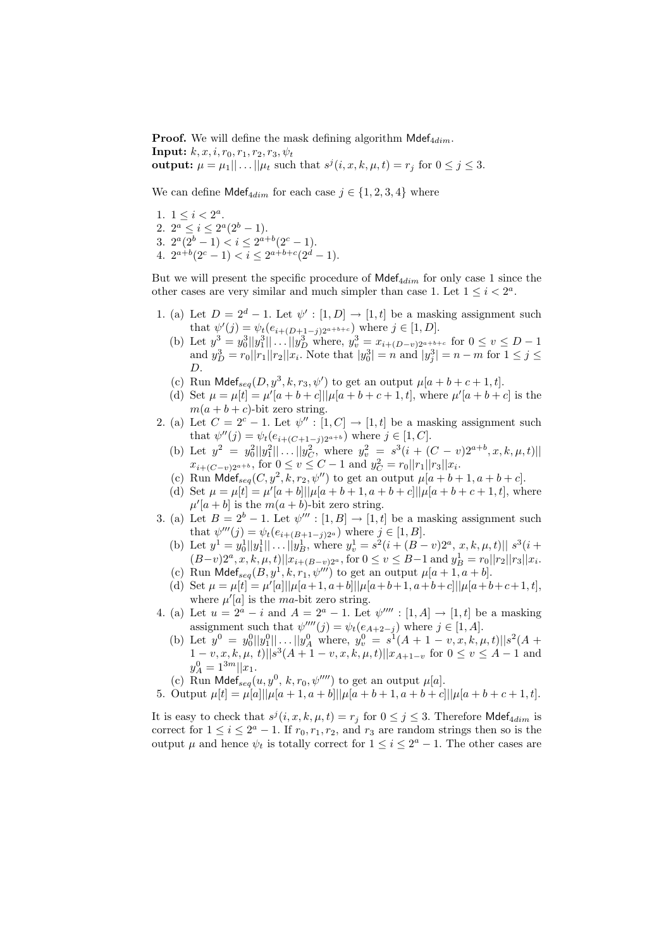**Proof.** We will define the mask defining algorithm  $\mathsf{Mdef}_{4dim}$ . **Input:**  $k, x, i, r_0, r_1, r_2, r_3, \psi_t$ **output:**  $\mu = \mu_1 || \dots || \mu_t$  such that  $s^j(i, x, k, \mu, t) = r_j$  for  $0 \le j \le 3$ .

We can define Mdef<sub>4dim</sub> for each case  $j \in \{1, 2, 3, 4\}$  where

1.  $1 \leq i < 2^a$ . 2.  $2^a \leq i \leq 2^a (2^b - 1)$ . 3.  $2^a(2^b - 1) < i \leq 2^{a+b}(2^c - 1)$ . 4.  $2^{a+b}(2^c-1) < i \leq 2^{a+b+c}(2^d-1)$ .

But we will present the specific procedure of  $\mathsf{Mdef}_{4dim}$  for only case 1 since the other cases are very similar and much simpler than case 1. Let  $1 \leq i < 2<sup>a</sup>$ .

- 1. (a) Let  $D = 2^d 1$ . Let  $\psi' : [1, D] \to [1, t]$  be a masking assignment such that  $\psi'(j) = \psi_t(e_{i+(D+1-j)2^{a+b+c}})$  where  $j \in [1, D]$ .
	- (b) Let  $y^3 = y_0^3 ||y_1^3|| \dots ||y_D^3$  where,  $y_v^3 = x_{i+(D-v)2^{a+b+c}}$  for  $0 \le v \le D-1$ and  $y_D^3 = r_0 ||r_1||r_2||x_i$ . Note that  $|y_0^3| = n$  and  $|y_j^3| = n - m$  for  $1 \le j \le n$ D.
	- (c) Run Mdef<sub>seq</sub> $(D, y^3, k, r_3, \psi')$  to get an output  $\mu[a + b + c + 1, t]$ .
	- (d) Set  $\mu = \mu[t] = \mu'[a+b+c]] \mu[a+b+c+1,t]$ , where  $\mu'[a+b+c]$  is the  $m(a + b + c)$ -bit zero string.
- 2. (a) Let  $C = 2<sup>c</sup> 1$ . Let  $\psi'' : [1, C] \rightarrow [1, t]$  be a masking assignment such that  $\psi''(j) = \psi_t(e_{i+(C+1-j)2^{a+b}})$  where  $j \in [1, C]$ .
	- (b) Let  $y^2 = y_0^2 ||y_1^2|| \dots ||y_C^2$ , where  $y_v^2 = s^3(i + (C v)2^{a+b}, x, k, \mu, t)$  $x_{i+(C-v)2^{a+b}}$ , for  $0 \le v \le C-1$  and  $y_C^2 = r_0||r_1||r_3||x_i$ .
	- (c) Run Mdef<sub>seq</sub> $(C, y^2, k, r_2, \psi'')$  to get an output  $\mu[a + b + 1, a + b + c]$ .
	- (d) Set  $\mu = \mu[t] = \mu'[a+b] || \mu[a+b+1, a+b+c] || \mu[a+b+c+1, t]$ , where  $\mu'$ [a + b] is the  $m(a + b)$ -bit zero string.
- 3. (a) Let  $B = 2^b 1$ . Let  $\psi''' : [1, B] \to [1, t]$  be a masking assignment such that  $\psi'''(j) = \psi_t(e_{i+(B+1-j)2^a})$  where  $j \in [1, B]$ .
	- (b) Let  $y^1 = y_0^1 ||y_1^1|| \dots ||y_B^1$ , where  $y_v^1 = s^2(i + (B v)2^a, x, k, \mu, t) || s^3(i +$  $(B-v)2^a, x, k, \mu, t$ || $x_{i+(B-v)2^a}$ , for  $0 \le v \le B-1$  and  $y_B^1 = r_0||r_2||r_3||x_i$ .
	- (c) Run Mdef<sub>seq</sub> $(B, y^1, k, r_1, \psi^{\prime\prime\prime})$  to get an output  $\mu[a+1, a+b]$ .
	- (d) Set  $\mu = \mu[t] = \mu'[a] || \mu[a+1, a+b] || \mu[a+b+1, a+b+c] || \mu[a+b+c+1, t],$ where  $\mu'[a]$  is the ma-bit zero string.
- 4. (a) Let  $u = 2^a i$  and  $A = 2^a 1$ . Let  $\psi'''' : [1, A] \to [1, t]$  be a masking assignment such that  $\psi'''(j) = \psi_t(e_{A+2-j})$  where  $j \in [1, A]$ .
	- (b) Let  $y^0 = y_0^0 ||y_1^0|| \dots ||y_A^0$  where,  $y_v^0 = s^1(A + 1 v, x, k, \mu, t) ||s^2(A +$  $1-v, x, k, \mu, t$ )|| $s^3(A+1-v, x, k, \mu, t)$ || $x_{A+1-v}$  for  $0 \le v \le A-1$  and  $y_A^0 = 1^{3m} ||x_1.$
	- (c) Run Mdef<sub>seq</sub> $(u, y^0, k, r_0, \psi''')$  to get an output  $\mu[a]$ .
- 5. Output  $\mu[t] = \mu[a] || \mu[a+1, a+b] || \mu[a+b+1, a+b+c] || \mu[a+b+c+1, t].$

It is easy to check that  $s^j(i, x, k, \mu, t) = r_j$  for  $0 \le j \le 3$ . Therefore Mdef<sub>4dim</sub> is correct for  $1 \leq i \leq 2^a - 1$ . If  $r_0, r_1, r_2$ , and  $r_3$  are random strings then so is the output  $\mu$  and hence  $\psi_t$  is totally correct for  $1 \leq i \leq 2^a - 1$ . The other cases are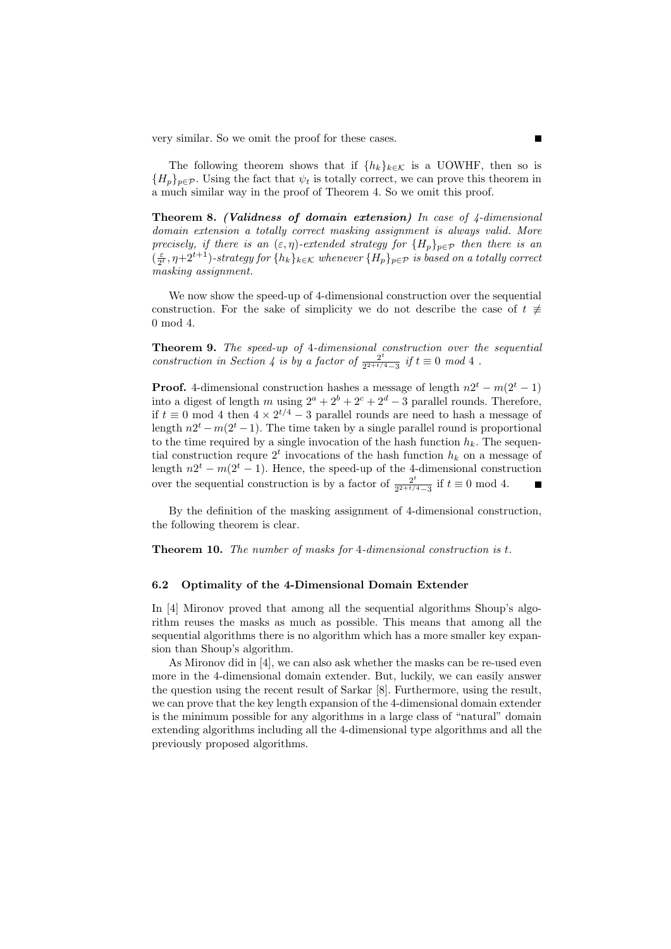very similar. So we omit the proof for these cases.

The following theorem shows that if  $\{h_k\}_{k\in\mathcal{K}}$  is a UOWHF, then so is  ${H_n}_{n \in \mathcal{P}}$ . Using the fact that  $\psi_t$  is totally correct, we can prove this theorem in a much similar way in the proof of Theorem 4. So we omit this proof.

**Theorem 8.** (Validness of domain extension) In case of  $\frac{1}{4}$ -dimensional domain extension a totally correct masking assignment is always valid. More precisely, if there is an  $(\varepsilon, \eta)$ -extended strategy for  $\{H_p\}_{p\in\mathcal{P}}$  then there is an  $(\frac{\varepsilon}{2^t},\eta+2^{t+1})$ -strategy for  $\{h_k\}_{k\in\mathcal{K}}$  whenever  $\{H_p\}_{p\in\mathcal{P}}$  is based on a totally correct masking assignment.

We now show the speed-up of 4-dimensional construction over the sequential construction. For the sake of simplicity we do not describe the case of  $t \neq$ 0 mod 4.

Theorem 9. The speed-up of 4-dimensional construction over the sequential construction in Section 4 is by a factor of  $\frac{2^t}{2^{2+t}}$  $\frac{2^{\epsilon}}{2^{2+t/4}-3}$  if  $t \equiv 0 \mod 4$ .

**Proof.** 4-dimensional construction hashes a message of length  $n2^t - m(2^t - 1)$ into a digest of length m using  $2^a + 2^b + 2^c + 2^d - 3$  parallel rounds. Therefore, if  $t \equiv 0 \mod 4$  then  $4 \times 2^{t/4} - 3$  parallel rounds are need to hash a message of length  $n2^t - m(2^t - 1)$ . The time taken by a single parallel round is proportional to the time required by a single invocation of the hash function  $h_k$ . The sequential construction requre  $2<sup>t</sup>$  invocations of the hash function  $h<sub>k</sub>$  on a message of length  $n2^t - m(2^t - 1)$ . Hence, the speed-up of the 4-dimensional construction over the sequential construction is by a factor of  $\frac{2^t}{2^2+t}$  $\frac{2^{c}}{2^{2+t/4}-3}$  if  $t \equiv 0 \mod 4$ .

By the definition of the masking assignment of 4-dimensional construction, the following theorem is clear.

Theorem 10. The number of masks for 4-dimensional construction is t.

#### 6.2 Optimality of the 4-Dimensional Domain Extender

In [4] Mironov proved that among all the sequential algorithms Shoup's algorithm reuses the masks as much as possible. This means that among all the sequential algorithms there is no algorithm which has a more smaller key expansion than Shoup's algorithm.

As Mironov did in [4], we can also ask whether the masks can be re-used even more in the 4-dimensional domain extender. But, luckily, we can easily answer the question using the recent result of Sarkar [8]. Furthermore, using the result, we can prove that the key length expansion of the 4-dimensional domain extender is the minimum possible for any algorithms in a large class of "natural" domain extending algorithms including all the 4-dimensional type algorithms and all the previously proposed algorithms.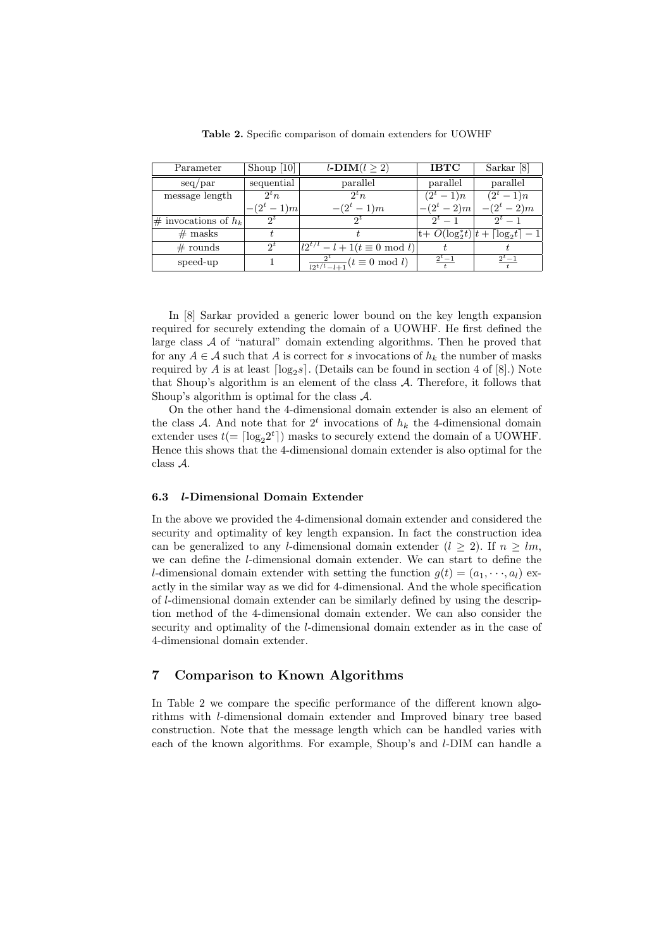| Parameter                 | Shoup $[10]$    | $l$ -DIM $(l > 2)$                               | <b>IBTC</b>  | Sarkar [8]                                        |
|---------------------------|-----------------|--------------------------------------------------|--------------|---------------------------------------------------|
| seq/par                   | sequential      | parallel                                         | parallel     | parallel                                          |
| message length            | $2^{t}n$        | $2^{t}n$                                         | $(2^t - 1)n$ | $(2^t - 1)n$                                      |
|                           | $-(2^t-1)m$     | $-(2^t-1)m$                                      | $-(2^t-2)m$  | $-(2^t-2)m$                                       |
| $\#$ invocations of $h_k$ | $\mathcal{D}^L$ | $\mathbf{a}$                                     | $2^t - 1$    | $2^t-1$                                           |
| $#$ masks                 |                 |                                                  |              | $ t + O(\log_2 t) t + \lceil \log_2 t \rceil - 1$ |
| $\#$ rounds               | $2^t$           | $ l2^{t/l} - l + 1(t \equiv 0 \mod l) $          |              |                                                   |
| speed-up                  |                 | $\frac{2^t}{l2^{t/l}-l+1}$ $(t \equiv 0 \mod l)$ | $2^{i} - 1$  | $2^{t} - 1$                                       |

Table 2. Specific comparison of domain extenders for UOWHF

In [8] Sarkar provided a generic lower bound on the key length expansion required for securely extending the domain of a UOWHF. He first defined the large class  $A$  of "natural" domain extending algorithms. Then he proved that for any  $A \in \mathcal{A}$  such that A is correct for s invocations of  $h_k$  the number of masks required by A is at least  $\lceil \log_2 s \rceil$ . (Details can be found in section 4 of [8].) Note that Shoup's algorithm is an element of the class  $A$ . Therefore, it follows that Shoup's algorithm is optimal for the class A.

On the other hand the 4-dimensional domain extender is also an element of the class A. And note that for  $2<sup>t</sup>$  invocations of  $h_k$  the 4-dimensional domain extender uses  $t (= \lceil \log_2 2^t \rceil)$  masks to securely extend the domain of a UOWHF. Hence this shows that the 4-dimensional domain extender is also optimal for the class A.

#### 6.3 l-Dimensional Domain Extender

In the above we provided the 4-dimensional domain extender and considered the security and optimality of key length expansion. In fact the construction idea can be generalized to any *l*-dimensional domain extender  $(l \geq 2)$ . If  $n \geq lm$ , we can define the l-dimensional domain extender. We can start to define the l-dimensional domain extender with setting the function  $g(t) = (a_1, \dots, a_l)$  exactly in the similar way as we did for 4-dimensional. And the whole specification of l-dimensional domain extender can be similarly defined by using the description method of the 4-dimensional domain extender. We can also consider the security and optimality of the l-dimensional domain extender as in the case of 4-dimensional domain extender.

#### 7 Comparison to Known Algorithms

In Table 2 we compare the specific performance of the different known algorithms with l-dimensional domain extender and Improved binary tree based construction. Note that the message length which can be handled varies with each of the known algorithms. For example, Shoup's and *l*-DIM can handle a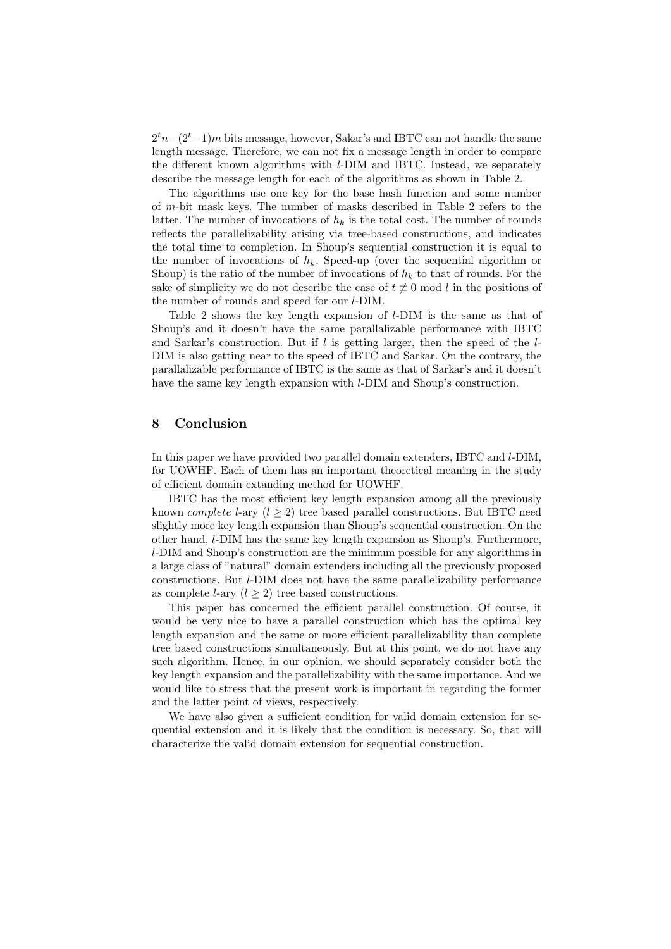$2<sup>t</sup>n-(2<sup>t</sup>-1)m$  bits message, however, Sakar's and IBTC can not handle the same length message. Therefore, we can not fix a message length in order to compare the different known algorithms with l-DIM and IBTC. Instead, we separately describe the message length for each of the algorithms as shown in Table 2.

The algorithms use one key for the base hash function and some number of m-bit mask keys. The number of masks described in Table 2 refers to the latter. The number of invocations of  $h_k$  is the total cost. The number of rounds reflects the parallelizability arising via tree-based constructions, and indicates the total time to completion. In Shoup's sequential construction it is equal to the number of invocations of  $h_k$ . Speed-up (over the sequential algorithm or Shoup) is the ratio of the number of invocations of  $h_k$  to that of rounds. For the sake of simplicity we do not describe the case of  $t \neq 0 \mod l$  in the positions of the number of rounds and speed for our l-DIM.

Table 2 shows the key length expansion of l-DIM is the same as that of Shoup's and it doesn't have the same parallalizable performance with IBTC and Sarkar's construction. But if  $l$  is getting larger, then the speed of the  $l$ -DIM is also getting near to the speed of IBTC and Sarkar. On the contrary, the parallalizable performance of IBTC is the same as that of Sarkar's and it doesn't have the same key length expansion with l-DIM and Shoup's construction.

# 8 Conclusion

In this paper we have provided two parallel domain extenders, IBTC and  $l$ -DIM, for UOWHF. Each of them has an important theoretical meaning in the study of efficient domain extanding method for UOWHF.

IBTC has the most efficient key length expansion among all the previously known *complete* l-ary  $(l > 2)$  tree based parallel constructions. But IBTC need slightly more key length expansion than Shoup's sequential construction. On the other hand, l-DIM has the same key length expansion as Shoup's. Furthermore, l-DIM and Shoup's construction are the minimum possible for any algorithms in a large class of "natural" domain extenders including all the previously proposed constructions. But l-DIM does not have the same parallelizability performance as complete *l*-ary  $(l \geq 2)$  tree based constructions.

This paper has concerned the efficient parallel construction. Of course, it would be very nice to have a parallel construction which has the optimal key length expansion and the same or more efficient parallelizability than complete tree based constructions simultaneously. But at this point, we do not have any such algorithm. Hence, in our opinion, we should separately consider both the key length expansion and the parallelizability with the same importance. And we would like to stress that the present work is important in regarding the former and the latter point of views, respectively.

We have also given a sufficient condition for valid domain extension for sequential extension and it is likely that the condition is necessary. So, that will characterize the valid domain extension for sequential construction.